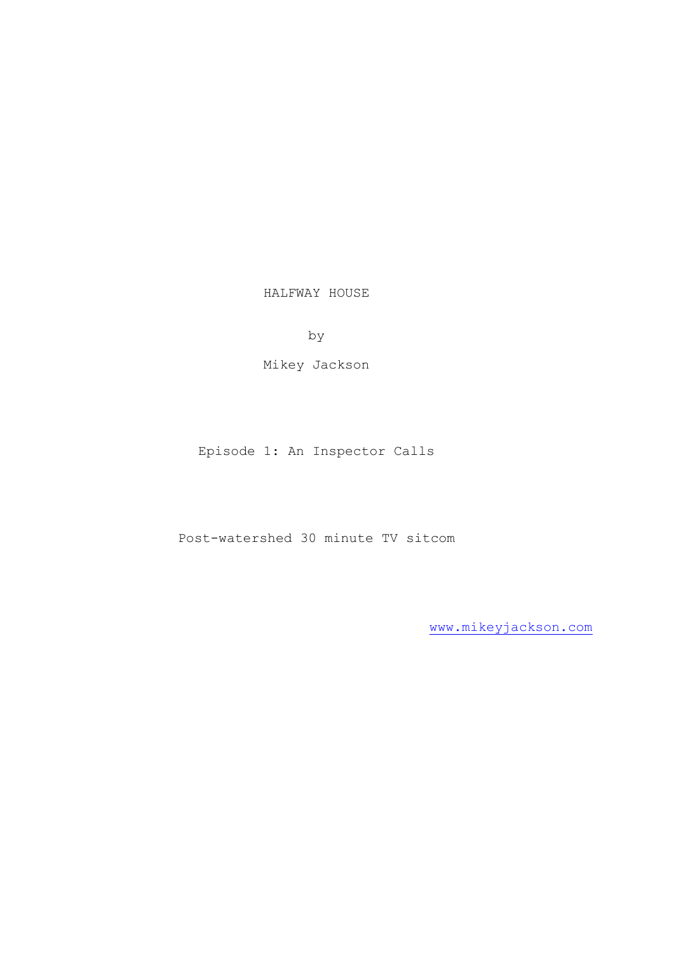HALFWAY HOUSE

by

Mikey Jackson

Episode 1: An Inspector Calls

Post-watershed 30 minute TV sitcom

[www.mikeyjackson.com](http://www.mikeyjackson.com/)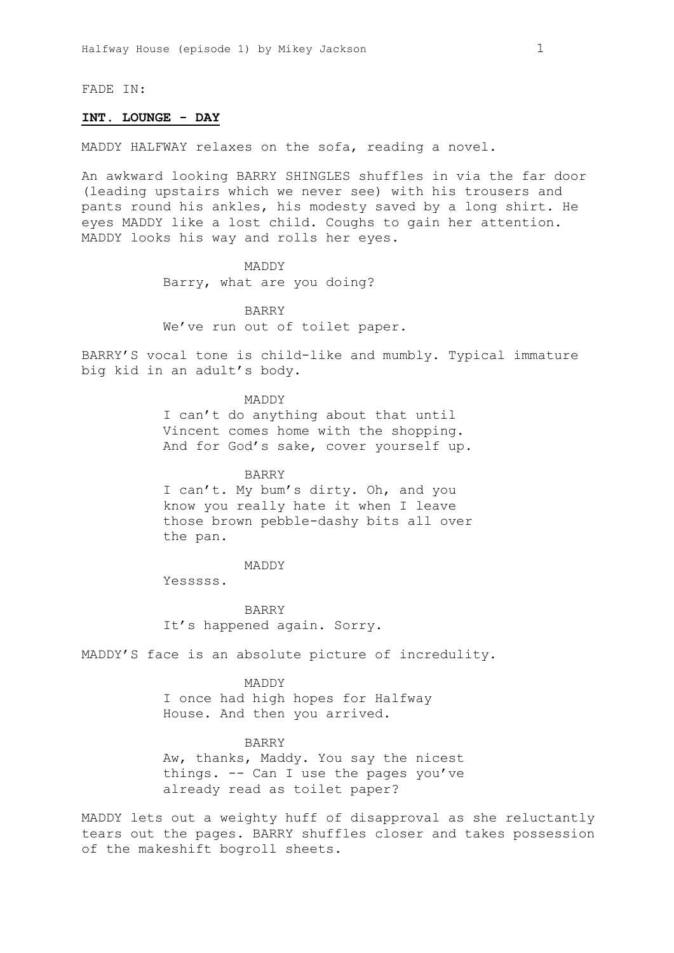FADE IN:

## **INT. LOUNGE - DAY**

MADDY HALFWAY relaxes on the sofa, reading a novel.

An awkward looking BARRY SHINGLES shuffles in via the far door (leading upstairs which we never see) with his trousers and pants round his ankles, his modesty saved by a long shirt. He eyes MADDY like a lost child. Coughs to gain her attention. MADDY looks his way and rolls her eyes.

> MADDY Barry, what are you doing?

BARRY We've run out of toilet paper.

BARRY'S vocal tone is child-like and mumbly. Typical immature big kid in an adult's body.

> MADDY I can't do anything about that until Vincent comes home with the shopping. And for God's sake, cover yourself up.

BARRY I can't. My bum's dirty. Oh, and you know you really hate it when I leave those brown pebble-dashy bits all over

the pan.

#### MADDY

Yesssss.

BARRY It's happened again. Sorry.

MADDY'S face is an absolute picture of incredulity.

MADDY I once had high hopes for Halfway House. And then you arrived.

BARRY Aw, thanks, Maddy. You say the nicest things. -- Can I use the pages you've already read as toilet paper?

MADDY lets out a weighty huff of disapproval as she reluctantly tears out the pages. BARRY shuffles closer and takes possession of the makeshift bogroll sheets.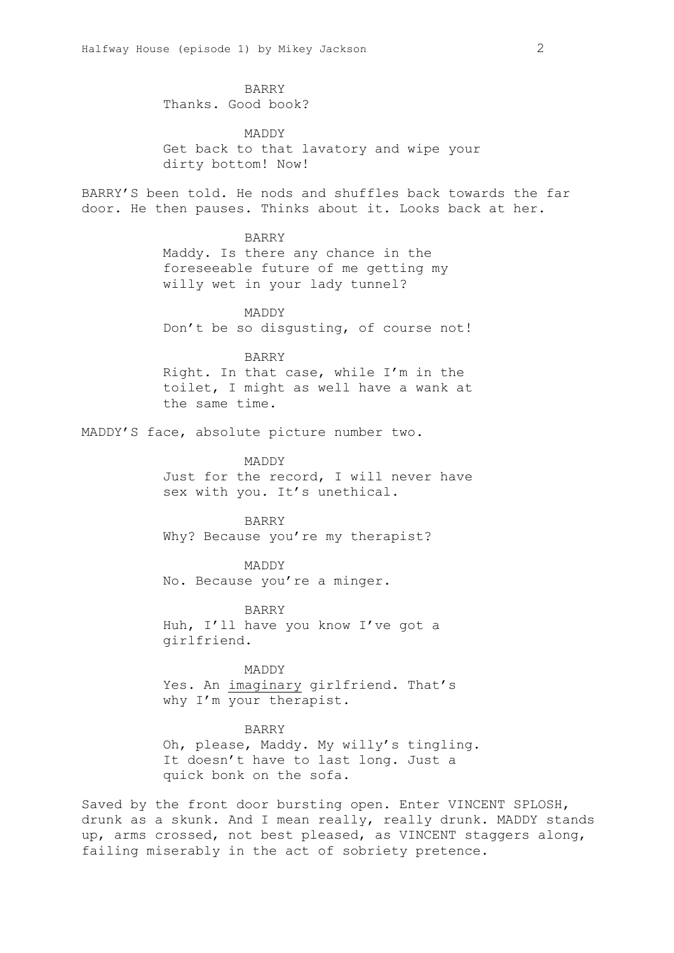BARRY Thanks. Good book?

MADDY Get back to that lavatory and wipe your dirty bottom! Now!

BARRY'S been told. He nods and shuffles back towards the far door. He then pauses. Thinks about it. Looks back at her.

BARRY

Maddy. Is there any chance in the foreseeable future of me getting my willy wet in your lady tunnel?

MADDY Don't be so disgusting, of course not!

BARRY

Right. In that case, while I'm in the toilet, I might as well have a wank at the same time.

MADDY'S face, absolute picture number two.

MADDY Just for the record, I will never have sex with you. It's unethical.

BARRY Why? Because you're my therapist?

MADDY No. Because you're a minger.

BARRY Huh, I'll have you know I've got a girlfriend.

MADDY Yes. An imaginary girlfriend. That's why I'm your therapist.

BARRY Oh, please, Maddy. My willy's tingling.

It doesn't have to last long. Just a quick bonk on the sofa.

Saved by the front door bursting open. Enter VINCENT SPLOSH, drunk as a skunk. And I mean really, really drunk. MADDY stands up, arms crossed, not best pleased, as VINCENT staggers along, failing miserably in the act of sobriety pretence.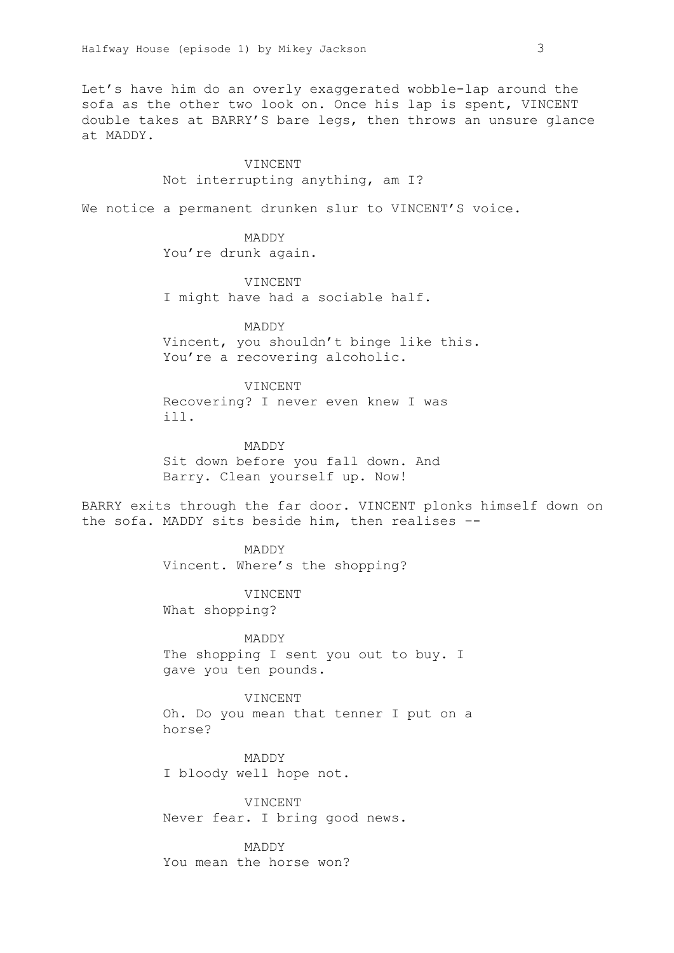Let's have him do an overly exaggerated wobble-lap around the sofa as the other two look on. Once his lap is spent, VINCENT double takes at BARRY'S bare legs, then throws an unsure glance at MADDY.

#### VINCENT

Not interrupting anything, am I?

We notice a permanent drunken slur to VINCENT'S voice.

MADDY You're drunk again.

VINCENT I might have had a sociable half.

MADDY Vincent, you shouldn't binge like this. You're a recovering alcoholic.

VINCENT Recovering? I never even knew I was ill.

MADDY Sit down before you fall down. And Barry. Clean yourself up. Now!

BARRY exits through the far door. VINCENT plonks himself down on the sofa. MADDY sits beside him, then realises –-

> MADDY Vincent. Where's the shopping?

VINCENT What shopping?

MADDY The shopping I sent you out to buy. I gave you ten pounds.

VINCENT Oh. Do you mean that tenner I put on a horse?

MADDY I bloody well hope not.

VINCENT Never fear. I bring good news.

MADDY You mean the horse won?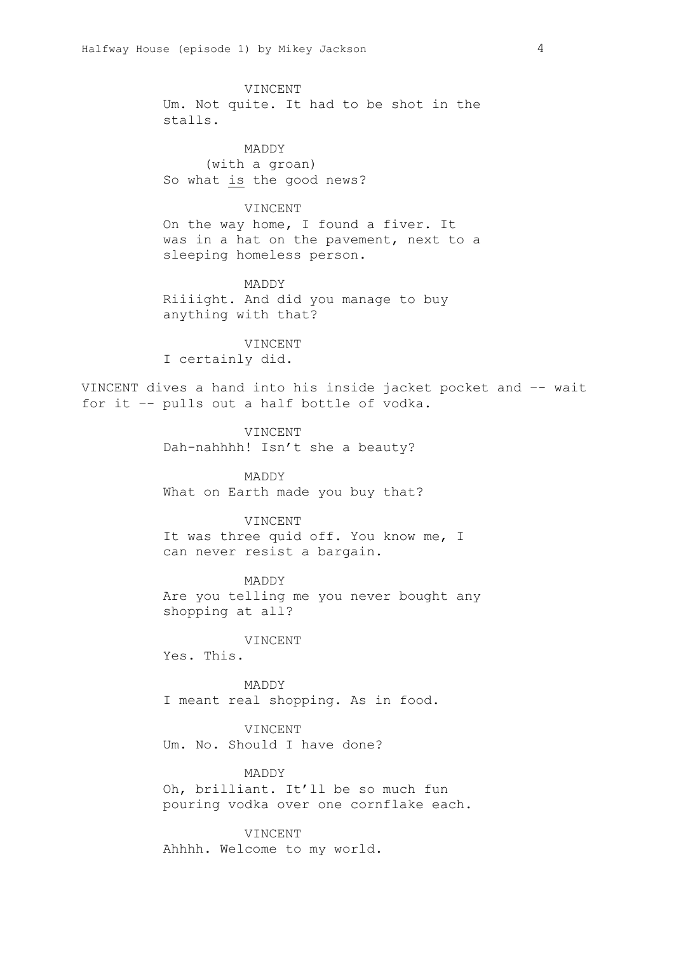VINCENT Um. Not quite. It had to be shot in the stalls.

MADDY (with a groan) So what is the good news?

# VINCENT

On the way home, I found a fiver. It was in a hat on the pavement, next to a sleeping homeless person.

MADDY Riiiight. And did you manage to buy anything with that?

VINCENT I certainly did.

VINCENT dives a hand into his inside jacket pocket and –- wait for it –- pulls out a half bottle of vodka.

> VINCENT Dah-nahhhh! Isn't she a beauty?

MADDY What on Earth made you buy that?

#### VINCENT

It was three quid off. You know me, I can never resist a bargain.

MADDY

Are you telling me you never bought any shopping at all?

# VINCENT

Yes. This.

MADDY I meant real shopping. As in food.

VINCENT

Um. No. Should I have done?

#### MADDY

Oh, brilliant. It'll be so much fun pouring vodka over one cornflake each.

VINCENT

Ahhhh. Welcome to my world.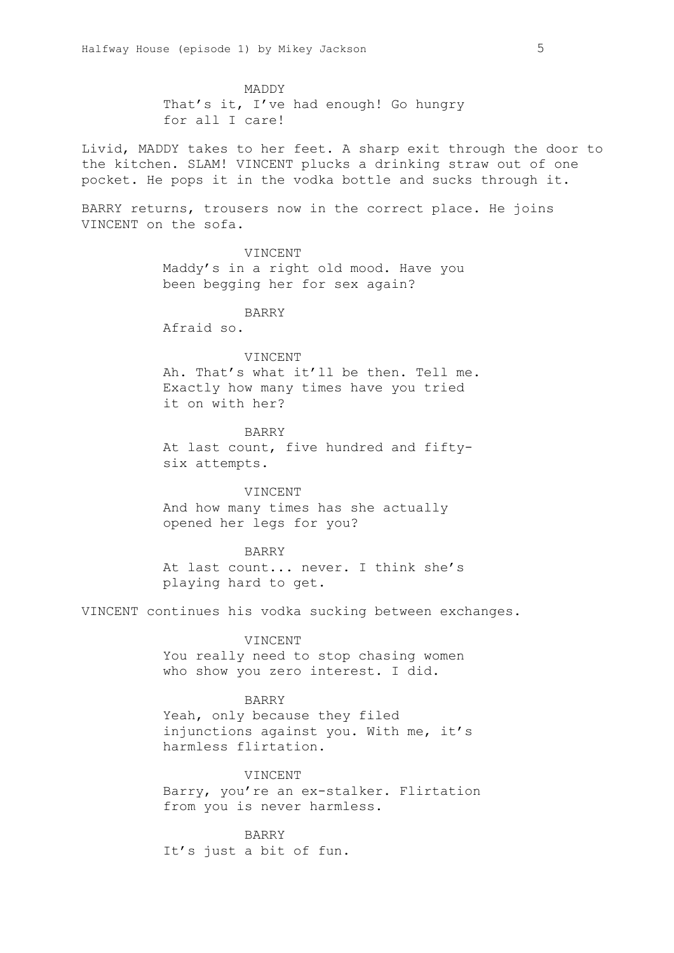MADDY That's it, I've had enough! Go hungry for all I care!

Livid, MADDY takes to her feet. A sharp exit through the door to the kitchen. SLAM! VINCENT plucks a drinking straw out of one pocket. He pops it in the vodka bottle and sucks through it.

BARRY returns, trousers now in the correct place. He joins VINCENT on the sofa.

VINCENT

Maddy's in a right old mood. Have you been begging her for sex again?

BARRY

Afraid so.

#### VINCENT

Ah. That's what it'll be then. Tell me. Exactly how many times have you tried it on with her?

#### BARRY

At last count, five hundred and fiftysix attempts.

## VINCENT

And how many times has she actually opened her legs for you?

# BARRY

At last count... never. I think she's playing hard to get.

VINCENT continues his vodka sucking between exchanges.

## VINCENT

You really need to stop chasing women who show you zero interest. I did.

# BARRY

Yeah, only because they filed injunctions against you. With me, it's harmless flirtation.

# VINCENT

Barry, you're an ex-stalker. Flirtation from you is never harmless.

BARRY It's just a bit of fun.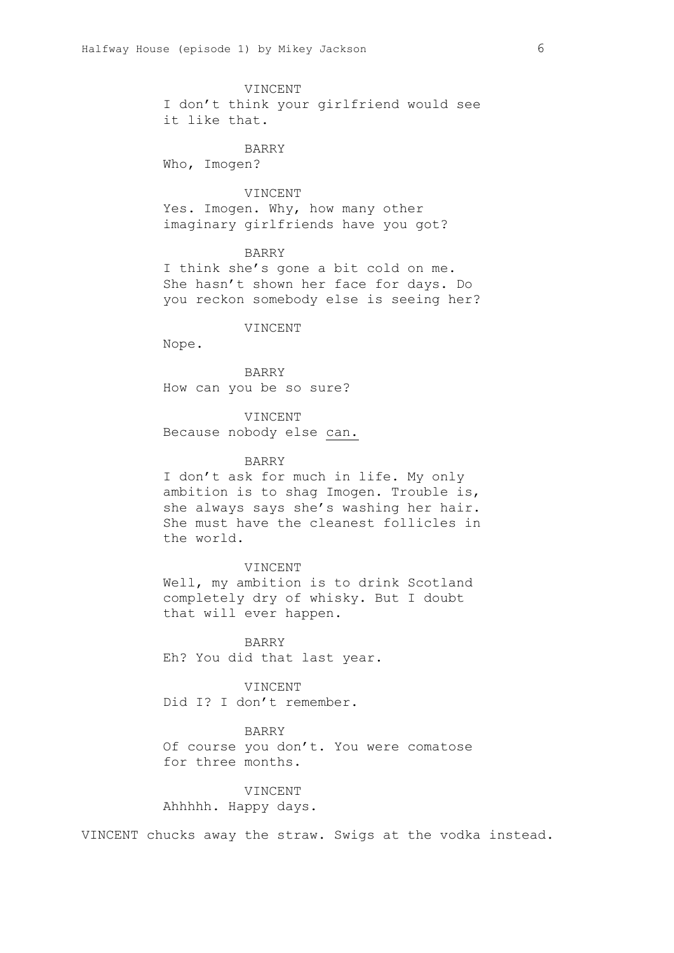VINCENT

I don't think your girlfriend would see it like that.

BARRY

Who, Imogen?

# VINCENT

Yes. Imogen. Why, how many other imaginary girlfriends have you got?

### BARRY

I think she's gone a bit cold on me. She hasn't shown her face for days. Do you reckon somebody else is seeing her?

# VINCENT

Nope.

BARRY How can you be so sure?

VINCENT Because nobody else can.

#### BARRY

I don't ask for much in life. My only ambition is to shag Imogen. Trouble is, she always says she's washing her hair. She must have the cleanest follicles in the world.

VINCENT

Well, my ambition is to drink Scotland completely dry of whisky. But I doubt that will ever happen.

BARRY Eh? You did that last year.

VINCENT Did I? I don't remember.

## BARRY

Of course you don't. You were comatose for three months.

# VINCENT Ahhhhh. Happy days.

VINCENT chucks away the straw. Swigs at the vodka instead.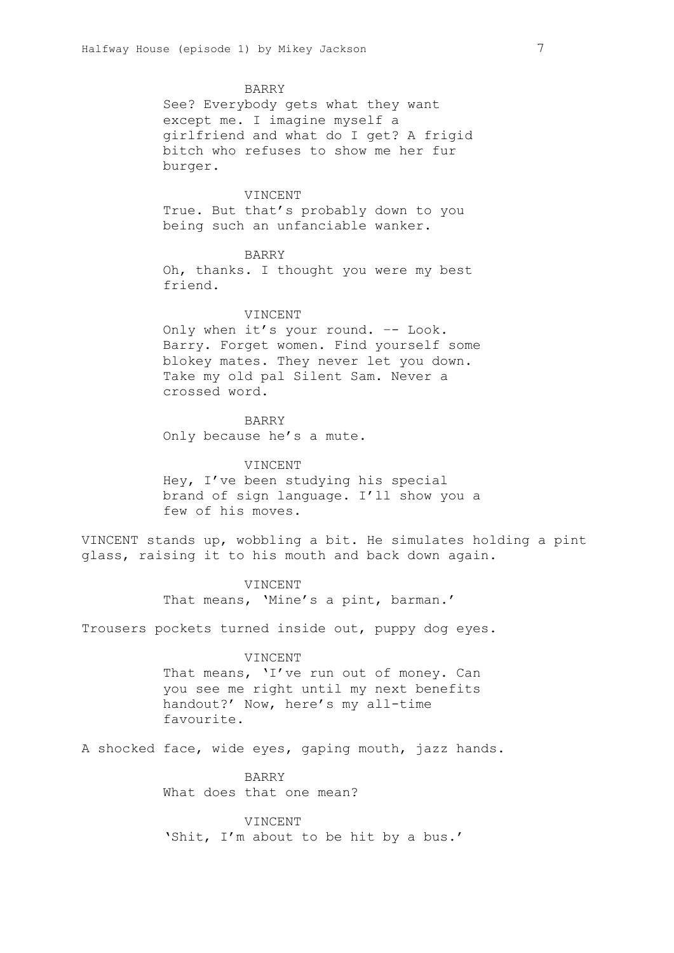BARRY

See? Everybody gets what they want except me. I imagine myself a girlfriend and what do I get? A frigid bitch who refuses to show me her fur burger.

# VINCENT

True. But that's probably down to you being such an unfanciable wanker.

# BARRY

Oh, thanks. I thought you were my best friend.

#### VINCENT

Only when it's your round. –- Look. Barry. Forget women. Find yourself some blokey mates. They never let you down. Take my old pal Silent Sam. Never a crossed word.

BARRY Only because he's a mute.

# VINCENT Hey, I've been studying his special brand of sign language. I'll show you a few of his moves.

VINCENT stands up, wobbling a bit. He simulates holding a pint glass, raising it to his mouth and back down again.

> VINCENT That means, 'Mine's a pint, barman.'

Trousers pockets turned inside out, puppy dog eyes.

## VINCENT

That means, 'I've run out of money. Can you see me right until my next benefits handout?' Now, here's my all-time favourite.

A shocked face, wide eyes, gaping mouth, jazz hands.

BARRY What does that one mean?

VINCENT 'Shit, I'm about to be hit by a bus.'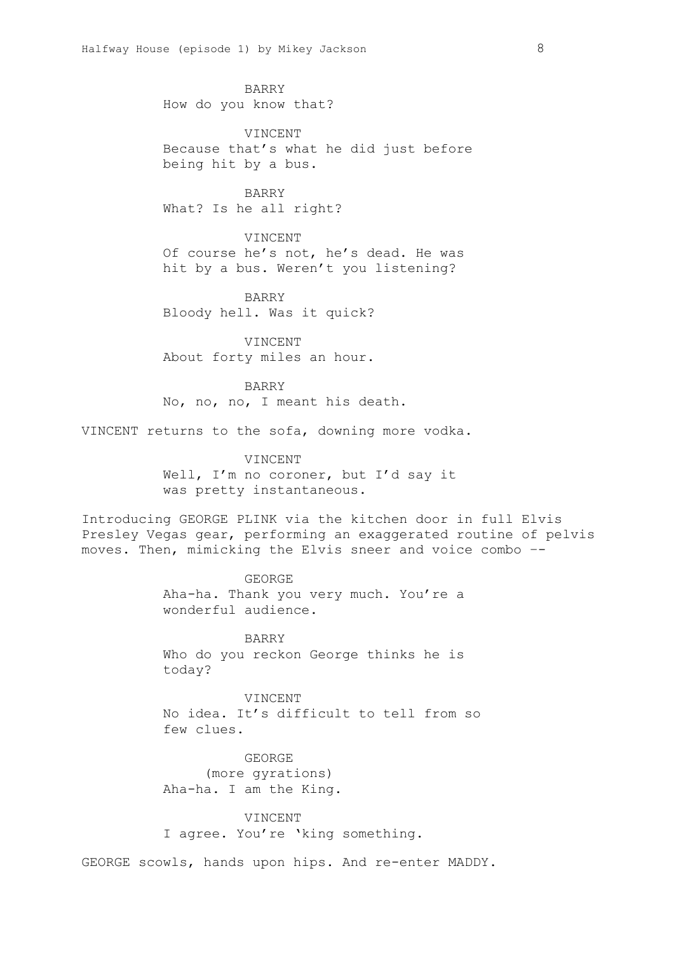BARRY How do you know that?

VINCENT Because that's what he did just before being hit by a bus.

BARRY What? Is he all right?

VINCENT Of course he's not, he's dead. He was hit by a bus. Weren't you listening?

BARRY Bloody hell. Was it quick?

VINCENT About forty miles an hour.

BARRY No, no, no, I meant his death.

VINCENT returns to the sofa, downing more vodka.

VINCENT Well, I'm no coroner, but I'd say it was pretty instantaneous.

Introducing GEORGE PLINK via the kitchen door in full Elvis Presley Vegas gear, performing an exaggerated routine of pelvis moves. Then, mimicking the Elvis sneer and voice combo –-

> GEORGE Aha-ha. Thank you very much. You're a wonderful audience.

> BARRY Who do you reckon George thinks he is today?

VINCENT No idea. It's difficult to tell from so few clues.

GEORGE (more gyrations) Aha-ha. I am the King.

VINCENT I agree. You're 'king something.

GEORGE scowls, hands upon hips. And re-enter MADDY.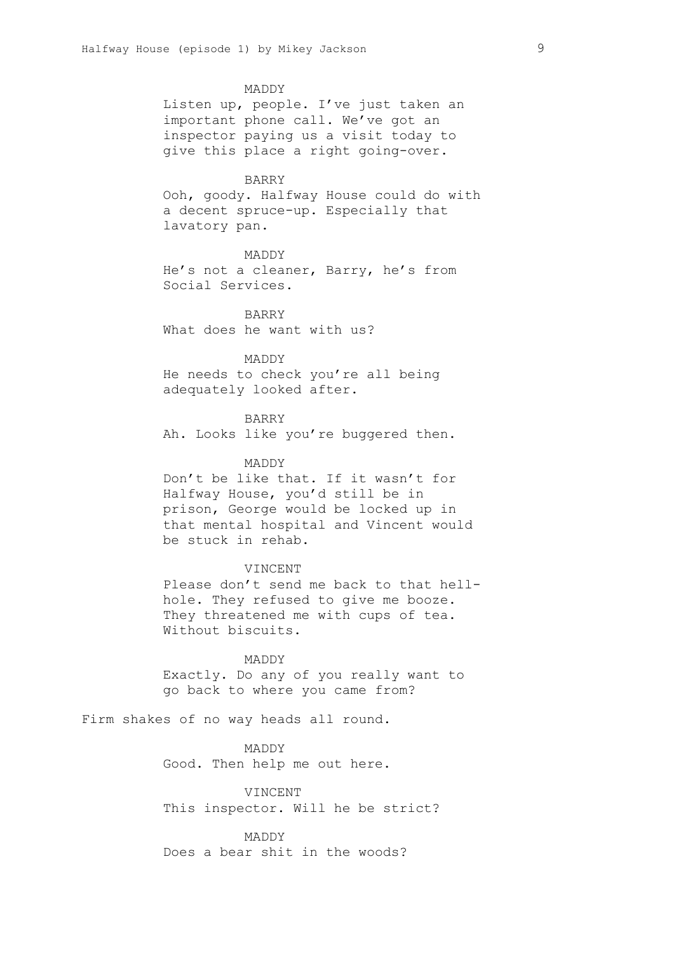MADDY Listen up, people. I've just taken an important phone call. We've got an inspector paying us a visit today to give this place a right going-over. BARRY Ooh, goody. Halfway House could do with a decent spruce-up. Especially that lavatory pan. MADDY He's not a cleaner, Barry, he's from Social Services. BARRY What does he want with us? MADDY He needs to check you're all being adequately looked after. BARRY Ah. Looks like you're buggered then. MADDY Don't be like that. If it wasn't for Halfway House, you'd still be in prison, George would be locked up in that mental hospital and Vincent would be stuck in rehab. VINCENT Please don't send me back to that hellhole. They refused to give me booze. They threatened me with cups of tea. Without biscuits.

MADDY Exactly. Do any of you really want to go back to where you came from?

Firm shakes of no way heads all round.

MADDY Good. Then help me out here.

VINCENT This inspector. Will he be strict?

MADDY Does a bear shit in the woods?